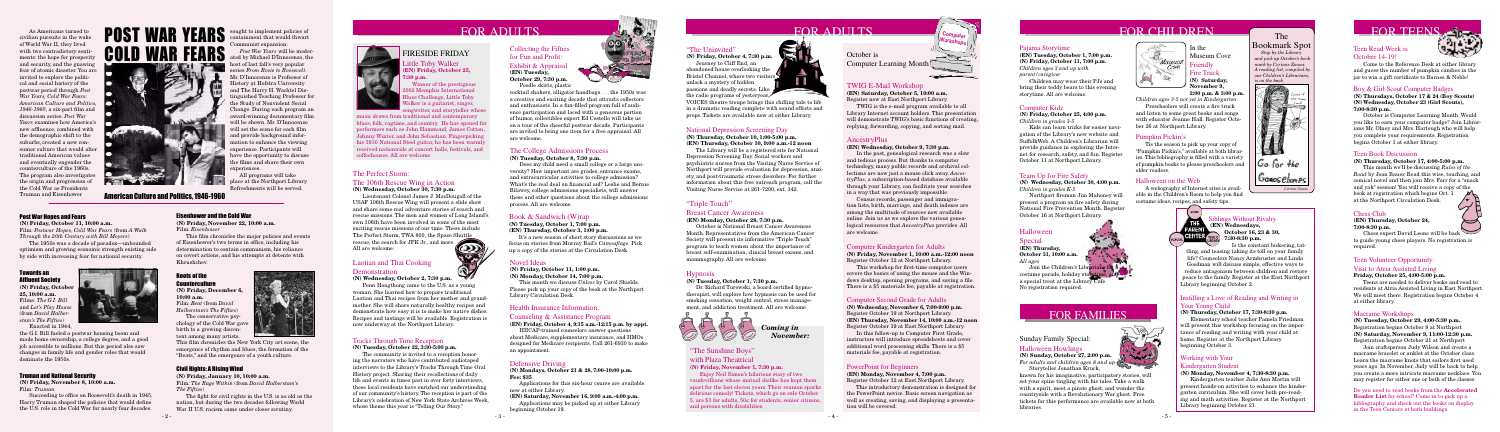



# Health Insurance Information,

#### Counseling & Assistance Program

**(EN) Friday, October 4, 9:15 a.m.-12:15 p.m. by appt.**

HIICAP-trained counselors answer questions about Medicare, supplementary insurance, and HMOs designed for Medicare recipients. Call 261-6930 to make an appointment.

ittle Toby Walker **(EN) Friday, October 25, 7:30 p.m.**

Bookmark Spot  *Stop by the Library and pick up October's bookmark by Corinne Zmoos.* 



 Journey to Cliff End, an abandoned house overlooking the Bristol Channel, where two visitors unlock a mystery of hidden passions and deadly secrets. Like the radio programs of yesteryear,



 Winner of the prestigious 2002 Memphis International Blues Challenge, Little Toby Walker is a guitarist, singer, songwriter, and storyteller whose

# FIRESIDE FRIDAY



# "The Uninvited"

**(N) Friday, October 4, 7:30 p.m.**

VOICES theatre troupe brings this chilling tale to life in a dramatic reading complete with sound effects and props. Tickets are available now at either Library.

#### **(N) Tuesday, October 1, 7:30 p.m.**

 Dr. Richard Turowski, a board certified hypnotherapist, will explore how hypnosis can be used for smoking cessation, weight control, stress management, and addiction treatment. All are welcome.

It's a new season of short story discussions as we focus on stories from Murray Bail's *Camouflage.* Pick up a copy of the stories at the Circulation Desk.

#### Pajama Storytime

**(EN) Tuesday, October 1, 7:00 p.m. (N) Friday, October 11, 7:00 p.m.** *Children ages 3 and up with parent/caregiver*

 Children may wear their PJs and bring their teddy bears to this evening storytime. All are welcome.

### Novel Ideas

**(N) Friday, October 11, 1:00 p.m.**

**(N) Monday, October 14, 7:00 p.m.**

 This month we discuss *Unless* by Carol Shields. Please pick up your copy of the book at the Northport Library Circulation Desk.

#### Team Up for Fire Safety

**(N) Wednesday, October 30, 4:00 p.m.** *Children in grades K-5*

 Northport fireman Jim Mahoney will present a program on fire safety during National Fire Prevention Month. Register October 16 at Northport Library.

### The College Admissions Process

**(N) Tuesday, October 8, 7:30 p.m.**

 Does my child need a small college or a large university? How important are grades, entrance exams, and extracurricular activities to college admission? What's the real deal on financial aid? Leslie and Bernie Bilawsy, college admissions specialists, will answer these and other questions about the college admissions process. All are welcome.

# Book & Sandwich (W)rap

# **(N) Tuesday, October 1, 7:00 p.m.**

**(EN) Thursday, October 3, 1:00 p.m.**

# Tracks Through Time Reception

**(N) Tuesday, October 22, 3:30-5:00 p.m.**

 The community is invited to a reception honoring the narrators who have contributed audiotaped interviews to the Library's Tracks Through Time Oral History project. Sharing their recollections of daily life and events in times past in over forty interviews, these local residents have enriched our understanding of our community's history. The reception is part of the Library's celebration of New York State Archives Week, whose theme this year is "Telling Our Story."

# AncestryPlus

#### **(EN) Wednesday, October 9, 7:30 p.m.**

 In the past, genealogical research was a slow and tedious process. But thanks to computer technology, many public records and archival collections are now just a mouse click away. *AncestryPlus*, a subscription-based database available through your Library, can facilitate your searches in a way that was previously impossible.

 Census records, passenger and immigration lists, birth, marriage, and death indexes are among the multitude of sources now available online. Join us as we explore the various genealogical resources that *AncestryPlus* provides. All are welcome.

#### PowerPoint for Beginners

#### **(EN) Monday, November 4, 7:00 p.m.** Register October 12 at East Northport Library.

This introductory demonstration is designed for the PowerPoint novice. Basic screen navigation as well as creating, saving, and displaying a presentation will be covered.

### Computer Second Grade for Adults

**(N) Wednesday, November 6, 7:00-9:00 p.m.** Register October 19 at Northport Library. **(EN) Thursday, November 14, 10:00 a.m.-12 noon** Register October 19 at East Northport Library.

In this follow-up to Computer First Grade, instructors will introduce spreadsheets and cover additional word processing skills. There is a \$5 materials fee, payable at registration.

### Computer Kindergarten for Adults

**(N) Friday, November 1, 10:00 a.m.-12:00 noon** Register October 12 at Northport Library.

This workshop for first-time computer users covers the basics of using the mouse and the Windows desktop, opening programs, and saving a file. There is a \$5 materials fee, payable at registration.

 Chess expert David Leone will be back to guide young chess players. No registration is required

# "The Sunshine Boys"

with Plaza Theatrical

**(N) Friday, November 1, 7:30 p.m.**

 Enjoy Neil Simon's hilarious story of two vaudevillians whose mutual dislike has kept them apart for the last eleven years. Their reunion sparks delirious comedy! Tickets, which go on sale October 5, are \$1 for adults, 50¢ for students, senior citizens, and persons with disabilities.

### National Depression Screening Day

#### **(N) Thursday, October 10, 1:00-5:00 p.m. (EN) Thursday, October 10, 9:00 a.m.-12 noon**

 The Library will be a registered site for National Depression Screening Day. Social workers and psychiatric nurses from the Visiting Nurse Service of Northport will provide evaluation for depression, anxiety, and post-traumatic stress disorders. For further information about this free outreach program, call the Visiting Nurse Service at 261-7200, ext. 342.

#### Collecting the Fifties for Fun and Profit: Exhibit & Appraisal **(EN) Tuesday, October 29, 7:30 p.m.** Poodle skirts, plastic

# Roots of the **Counterculture**

cocktail shakers, alligator handbags . . . the 1950s was a creative and exciting decade that attracts collectors and enthusiasts. In a fun-filled program full of audience participation and laced with a generous portion

of humor, collectibles expert Ed Costello will take us on a tour of the cheerful postwar decade. Participants are invited to bring one item for a free appraisal. All are welcome.

# FOR FAMILIES

# Laotian and Thai Cooking

# **Demonstration**

**(N) Wednesday, October 2, 7:30 p.m.**

 Penn Hongthong came to the U.S. as a young woman. She learned how to prepare traditional Laotian and Thai recipes from her mother and grandmother. She will share naturally healthy recipes and demonstrate how easy it is to make her native dishes. Recipes and tastings will be available. Registration is now underway at the Northport Library.

As Americans turned t civilian pursuits in the wake of World War II, they lived with two contradictory senti ments: the hope for prosperity and security, and the gnawing fear of atomic disaster. You are invited to explore the political and social history of the postwar period through *Post War Years, Cold War Fears: American Culture and Politics, 1946-1960*, a six-part film and discussion series. *Post War Years* examines how America's new affluence, combined with the demographic shift to the suburbs, created a new consumer culture that would alter traditional American values and eventually engender the counterculture of the 1960s. The program also investigate the origin and progression of the Cold War as Presidents Truman and Eisenhower

# The Perfect Storm:

#### The 106th Rescue Wing in Action **(N) Wednesday, October 30, 7:30 p.m.**

 Lieutenant Colonel James J. MacDougall of the USAF 106th Rescue Wing will present a slide show and share some real adventure stories of search and rescue missions. The men and women of Long Island's own 106th have been involved in some of the most exciting rescue missions of our time. These include The Perfect Storm, TWA 800, the Space Shuttle rescue, the search for JFK Jr., and more. All are welcome.



### Working with Your

#### Kindergarten Student

**(N) Monday, November 4, 7:30-8:30 p.m.**

 Kindergarten teacher Julie Ann Martin will present hands-on activities to enhance the kindergarten curriculum. She will cover both pre-reading and math activities. Register at the Northport Library beginning October 21.

# FOR CHILDREN The The FOR TEENS. Para Pia

#### Instilling a Love of Reading and Writing in Your Young Child

#### **(N) Thursday, October 17, 7:30-8:30 p.m.**

 Elementary school teacher Pamela Friedman will present this workshop focusing on the importance of reading and writing with your child at home. Register at the Northport Library beginning October 3.

# Siblings Without Rivalry **(EN) Wednesdays, October 16, 23 & 30,**

**7:30-8:30 p.m.**

170

 $|G_0|$  for the

Gonosebunes

 Is the constant bickering, tattling, and teasing taking its toll on your family life? Counselors Nancy Armbruster and Linda Goodman will discuss simple, effective ways to reduce antagonism between children and restore peace to the family. Register at the East Northport Library beginning October 2.

Join the Children's Librarians for a costume parade, holiday storytime, and a special treat at the Library Cafe. No registration required.

#### Computer Kidz

**(N) Friday, October 25, 4:00 p.m.** *Children in grades 3-5*

 Kids can learn tricks for easier navigation of the Library's new website and SuffolkWeb. A Children's Librarian will provide guidance in exploring the Internet for research, safety, and fun. Register October 11 at Northport Library.

*Corinne Zmoos*

# Teen Volunteer Opportunity: Visit to Atria Assisted Living

#### **Friday, October 25, 4:00-5:00 p.m.**

 Teens are needed to deliver books and read to residents at Atria Assisted Living in East Northport. We will meet there. Registration begins October 4 at either library.

### Teen Read Week is October 14-19!

 Come to the Reference Desk at either library and guess the number of pumpkin candies in the jar to win a gift certificate to Barnes & Noble!

### Boy & Girl Scout Computer Badges

**(N) Thursdays, October 17 & 24 (Boy Scouts) (N) Wednesday, October 23 (Girl Scouts), 7:00-8:30 p.m.**

 October is Computer Learning Month. Would you like to earn your computer badge? Join Librarians Mr. Olney and Mrs. Hartough who will help you complete your requirements. Registration begins October 1 at either library.

#### Teen Book Discussion

#### **(N) Thursday, October 17, 4:00-5:00 p.m.**

 This month we'll be discussing *Rules of the Road* by Joan Bauer. Read this wise, touching, and comical novel and then join Mrs. Farr for a "snack and yak" session! You will receive a copy of the book at registration which begins Oct. 1 at the Northport Circulation Desk.

#### Chess Club

#### **(EN) Thursday, October 24, 7:00-8:30 p.m.**

#### Macrame Workshops

**(N) Tuesday, October 29, 4:00-5:30 p.m.** Registration begins October 8 at Northport **(N) Saturday, November 9, 11:00-12:30 p.m.** Registration begins October 21 at Northport

 Join craftsperson Judy Wilson and create a macrame bracelet or anklet at the October class. Learn the macrame knots that sailors first used years ago. In November, Judy will be back to help you create a more intricate macrame necklace. You may register for either one or both of the classes.

#### Do you need to read books from the **Accelerated Reader List** for school? Come in to pick up a bibliography and check out the books on display in the Teen Centers at both buildings.

 $2300/$ **RANGE** 

# "Triple Touch"

#### Breast Cancer Awareness

**(EN) Monday, October 28, 7:30 p.m.**

 October is National Breast Cancer Awareness Month. Representatives from the American Cancer Society will present its informative "Triple Touch" program to teach women about the importance of breast self-examination, clinical breast exams, and mammography. All are welcome.

# **Hypnosis**

# Defensive Driving

**(N) Mondays, October 21 & 28, 7:00-10:00 p.m. Fee: \$35** 

 Applications for this six-hour course are available now at either Library.

# **(EN) Saturday, November 16, 9:00 a.m.-4:00 p.m.**

 Applications may be picked up at either Library beginning October 19.

**(N) Friday, October 11, 10:00 a.m.** Film: *Postwar Hopes, Cold War Fears* (from *A Walk* 

*Through the 20th Century with Bill Moyers*)

 The 1950s was a decade of paradox—unbounded optimism and growing economic strength existing side by side with increasing fear for national security.

#### Civil Rights: A Rising Wind

#### **(N) Friday, January 10, 10:00 a.m.**

Film: *The Rage Within* (from *David Halberstam's The Fifties*)

 The fight for civil rights in the U.S. is as old as the nation, but during the two decades following World War II U.S. racism came under closer scrutiny.



**(N) Friday, December 6, 10:00 a.m.** Film: *Beat* (from *David Halberstam's The Fifties*)

 The conservative psychology of the Cold War gave birth to a growing discontent among many artists.

#### Eisenhower and the Cold War

**(N) Friday, November 22, 10:00 a.m.** Film: *Eisenhower*

 This film chronicles the major policies and events of Eisenhower's two terms in office, including his determination to contain communism, his reliance on covert actions, and his attempts at detente with Khrushchev.

#### Towards an Affluent Society

**(N) Friday, October 25, 10:00 a.m.** Films: *The G.I. Bill*  and *Let's Play House* (from *David Halberstam's The Fifties*)



Enacted in 1944,

#### Truman and National Security

**(N) Friday, November 8, 10:00 a.m.** Film: *Truman*

 Succeeding to office on Roosevelt's death in 1945, Harry Truman shaped the policies that would define the U.S. role in the Cold War for nearly four decades.

American Culture and Politics, 1946-1960

#### **Post War Hones and Fears**

sought to implement policies of containment that would thwart Communist expansion.

 *Post War Years* will be moderated by Michael D'Innocenzo, the host of last fall's very popular series *From Rosie to Roosevelt*. Mr. D'Innocenzo is Professor of History at Hofstra University and The Harry H. Wachtel Distinguished Teaching Professor for the Study of Nonviolent Social Change. During each program an award-winning documentary film will be shown. Mr. D'Innocenzo will set the scene for each film and provide background information to enhance the viewing experience. Participants will have the opportunity to discuss the films and share their own experiences.

 All programs will take place at the Northport Library. Refreshments will be served.

the G.I. Bill fueled a postwar housing boom and made home ownership, a college degree, and a good job accessible to millions. But this period also saw changes in family life and gender roles that would dominate the 1950s.

This film chronicles the New York City art scene, the emergence of rhythm and blues, the formation of the "Beats," and the emergence of a youth culture.



music draws from traditional and contemporary blues, folk, ragtime, and country. He has opened for performers such as John Hammond, James Cotton, Johnny Winter, and John Sebastian. Fingerpicking his 1930 National Steel guitar, he has been warmly received nationwide at concert halls, festivals, and coffeehouses. All are welcome.

October is

Computer Learning Month

# TWIG E-Mail Workshop

**(EN) Saturday, October 5, 10:00 a.m.** Register now at East Northport Library.

TWIG is the e-mail program available to all Library Internet account holders. This presentation will demonstrate TWIG's basic functions of creating, replying, forwarding, copying, and sorting mail.

### Sunday Family Special: Halloween Howlings

# **(N) Sunday, October 27, 2:00 p.m.**

*For adults and children ages 8 and up* Storyteller Jonathan Kruck,

known for his imaginative, participatory stories, will set your spine tingling with his tales. Take a walk with a spirit, meet a pirate ghost, and wander the countryside with a Revolutionary War ghost. Free tickets for this performance are available now at both libraries.



**Computer Workshops**

#### Halloween on the Web

 A webography of Internet sites is available in the Children's Room to help you find costume ideas, recipes, and safety tips.



#### Pumpkin Pickin's

 Tis the season to pick up your copy of "Pumpkin Pickin's," available at both libraries. This bibliography is filled with a variety of pumpkin books to please preschoolers and older readers.

# Halloween

Special

**(EN) Thursday, October 31, 10:00 a.m.**  *All ages*

In the Museum Cove Friendly Fire Truck

**(N) Saturday, November 9,** 

**2:00 p.m. & 3:00 p.m.** *Children ages 3-5 not yet in Kindergarten*

 Preschoolers will create a fire truck and listen to some great books and songs with educator Jeanne Hall. Register October 26 at Northport Library.